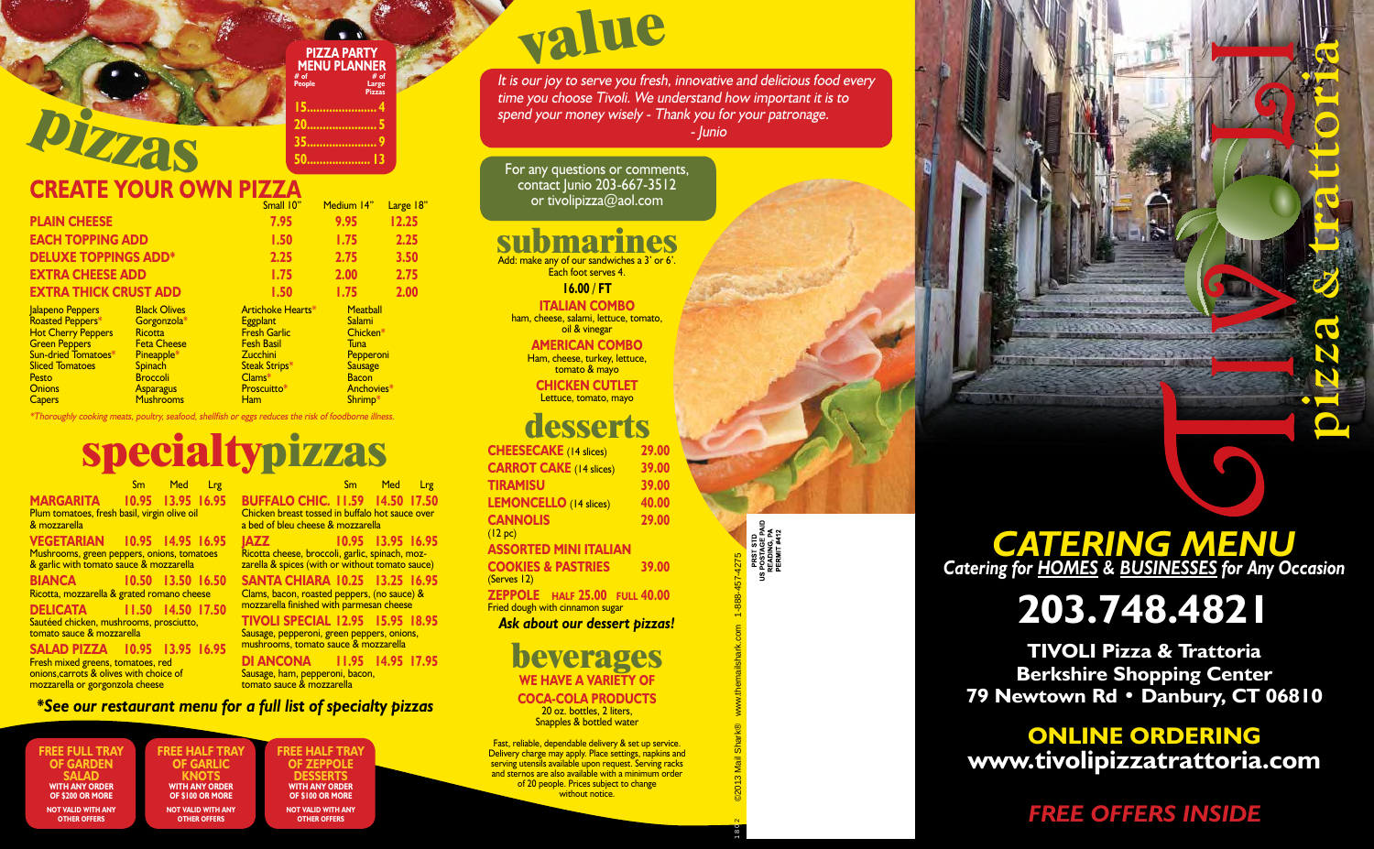## **submarines**

Add: make any of our sandwiches a 3' or 6'. Each foot serves 4.

**16.00 / ft**

**Italian Combo** ham, cheese, salami, lettuce, tomato, oil & vinegar

Sm Med Lrg **MARGARITA 10.95 13.95 16.95** Plum tomatoes, fresh basil, virgin olive oil & mozzarella

**VEGETARIAN 10.95 14.95 16.95** Mushrooms, green peppers, onions, tomatoes & garlic with tomato sauce & mozzarella

**American Combo** Ham, cheese, turkey, lettuce, tomato & mayo

**Chicken Cutlet** Lettuce, tomato, mayo

**pizza<sup>s</sup>**

**BIANCA 10.50 13.50 16.50** Ricotta, mozzarella & grated romano cheese

#### **DELICATA 11.50 14.50 17.50** Sautéed chicken, mushrooms, prosciutto,

tomato sauce & mozzarella

**salad pizza 10.95 13.95 16.95** Fresh mixed greens, tomatoes, red onions,carrots & olives with choice of mozzarella or gorgonzola cheese

#### **Buffalo chic. 11.59 14.50 17.50** Chicken breast tossed in buffalo hot sauce over a bed of bleu cheese & mozzarella

20 oz. bottles, 2 liters, Snapples & bottled water

Fast, reliable, dependable delivery & set up service. Delivery charge may apply. Place settings, napkins and serving utensils available upon request. Serving racks and sternos are also available with a minimum order of 20 people. Prices subject to change without notice.

**jazz 10.95 13.95 16.95** Ricotta cheese, broccoli, garlic, spinach, mozzarella & spices (with or without tomato sauce) **santa chiara 10.25 13.25 16.95** Clams, bacon, roasted peppers, (no sauce) &

mozzarella finished with parmesan cheese **tivoli special 12.95 15.95 18.95** Sausage, pepperoni, green peppers, onions, mushrooms, tomato sauce & mozzarella

Roasted Peppers\* Hot Cherry Peppers Green Peppers Sun-dried Tomatoes<sup>\*</sup> Sliced Tomatoes **Pesto Onions Capers** 

#### **di ancona 11.95 14.95 17.95** Sausage, ham, pepperoni, bacon,

tomato sauce & mozzarella

# **<sup>v</sup>alu<sup>e</sup>**

## **desserts**

**Eggplant** Fresh Garlic Fesh Basil **Zucchini Steak Strips**\* Clams\* **Proscuitto**\* Ham

| <b>CHEESECAKE</b> (14 slices)                                    | 29.00 |
|------------------------------------------------------------------|-------|
| <b>CARROT CAKE (14 slices)</b>                                   | 39.00 |
| <b>TIRAMISU</b>                                                  | 39.00 |
| <b>LEMONCELLO</b> (14 slices)                                    | 40.00 |
| <b>CANNOLIS</b><br>(12 pc)                                       | 29.00 |
| <b>ASSORTED MINI ITALIAN</b>                                     |       |
| <b>COOKIES &amp; PASTRIES</b><br>(Serves 12)                     | 39.00 |
| ZEPPOLE HALF 25.00 FULL 40.00<br>Fried dough with cinnamon sugar |       |
| Ask about our dessert pizzas!                                    |       |

**beverages we have a variety of coca-cola products**



**20...................... 5 35...................... 9 50.................... 13**

### *\*See our restaurant menu for a full list of specialty pizzas*

# **specialtypizzas**

### **CREATE YOUR OWN PIZZA**

**Ricotta** Feta Cheese **Pineapple**\* **Spinach Broccoli Asparagus Mushrooms** 

|                                      |                                    | Small 10"                            | Medium 14"                | Large 18" |
|--------------------------------------|------------------------------------|--------------------------------------|---------------------------|-----------|
| <b>PLAIN CHEESE</b>                  |                                    | 7.95                                 | 9.95                      | 12.25     |
| <b>EACH TOPPING ADD</b>              |                                    | 1.50                                 | 1.75                      | 2.25      |
| <b>DELUXE TOPPINGS ADD*</b>          |                                    | 2.25                                 | 2.75                      | 3.50      |
| <b>EXTRA CHEESE ADD</b>              |                                    | 1.75                                 | 2.00                      | 2.75      |
| <b>EXTRA THICK CRUST ADD</b>         |                                    | 1.50                                 | 1.75                      | 2.00      |
| Jalapeno Peppers<br>Roasted Peppers* | <b>Black Olives</b><br>Gorgonzola* | Artichoke Hearts*<br><b>Eggplant</b> | <b>Meatball</b><br>Salami |           |

Chicken\* Tuna Pepperoni **Sausage Bacon Anchovies**<sup>\*</sup> Shrimp\*

Sm Med Lrg

\*Thoroughly cooking meats, poultry, seafood, shellfish or eggs reduces the risk of foodborne illness.

**pizza & trattoria**

T

### *CATERING MENU Catering for Homes & Businesses for Any Occasion*

# **203.748.4821**

**TIVOLI Pizza & Trattoria Berkshire Shopping Center 79 Newtown Rd • Danbury, CT 06810**

**ONLINE ORDERING www.tivolipizzatrattoria.com**

*FREE OFFERS INSIDE*

**FREE Full Tray of Garden salad with any order of \$200 or More Not valid with any other offers**

**FREE half tray of garlic knots with any order of \$100 or More Not valid with any**

**other offers**

#### **FREE half Tray of zeppole desserts with any order of \$100 or More Not valid with any**

**other offers**

For any questions or comments, contact Junio 203-667-3512 or tivolipizza@aol.com

It is our joy to serve you fresh, innovative and delicious food every time you choose Tivoli. We understand how important it is to spend your money wisely - Thank you for your patronage. - Junio

©2013 Mail Shark® www.themailshark.com 1-888-457-4275